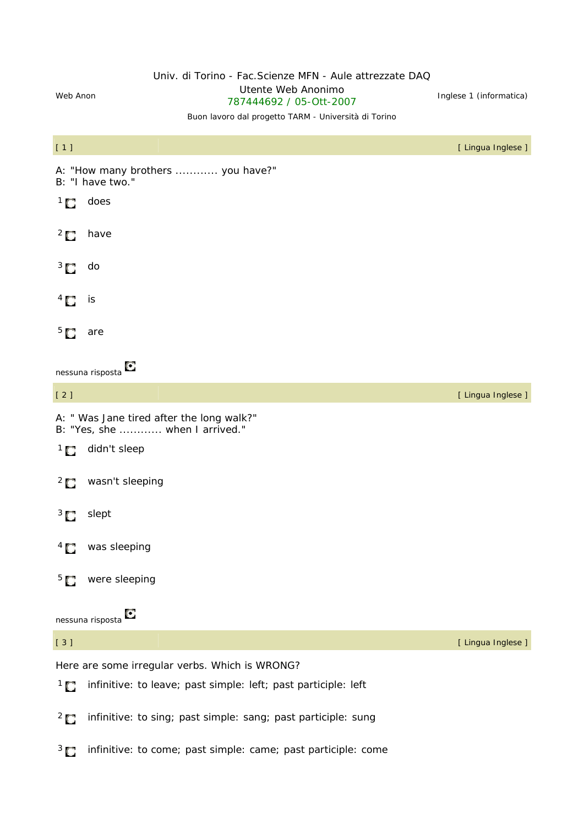## Univ. di Torino - Fac.Scienze MFN - Aule attrezzate DAQ

Web Anon<br>
Web Anon<br>
Web Anon<br>
Web Anon Oterite Web Arionimo<br>787444692 / 05-Ott-2007 linglese 1 (informatica)

### Buon lavoro dal progetto TARM - Università di Torino

| [1]                           |                                                                             | [ Lingua Inglese ] |
|-------------------------------|-----------------------------------------------------------------------------|--------------------|
|                               | A: "How many brothers  you have?"<br>B: "I have two."                       |                    |
| $\overline{1}$ $\overline{0}$ | does                                                                        |                    |
| $^{2}$ $\Box$                 | have                                                                        |                    |
| $\frac{3}{2}$                 | do                                                                          |                    |
| $\frac{4}{3}$                 | is                                                                          |                    |
| 5 <sub>1</sub>                | are                                                                         |                    |
|                               | O<br>nessuna risposta                                                       |                    |
| $[2]$                         |                                                                             | [ Lingua Inglese ] |
|                               | A: " Was Jane tired after the long walk?"<br>B: "Yes, she  when I arrived." |                    |
| $\overline{1}$                | didn't sleep                                                                |                    |
| $\overline{2}$                | wasn't sleeping                                                             |                    |
| $\frac{3}{2}$                 | slept                                                                       |                    |
| $4\Box$                       | was sleeping                                                                |                    |
| 5 <sub>1</sub>                | were sleeping                                                               |                    |
|                               | О<br>nessuna risposta                                                       |                    |
| $[3]$                         |                                                                             | [ Lingua Inglese ] |
|                               | Here are some irregular verbs. Which is WRONG?                              |                    |
| $\overline{1}$                | infinitive: to leave; past simple: left; past participle: left              |                    |
| $\overline{2}$                | infinitive: to sing; past simple: sang; past participle: sung               |                    |
| $\frac{3}{2}$                 | infinitive: to come; past simple: came; past participle: come               |                    |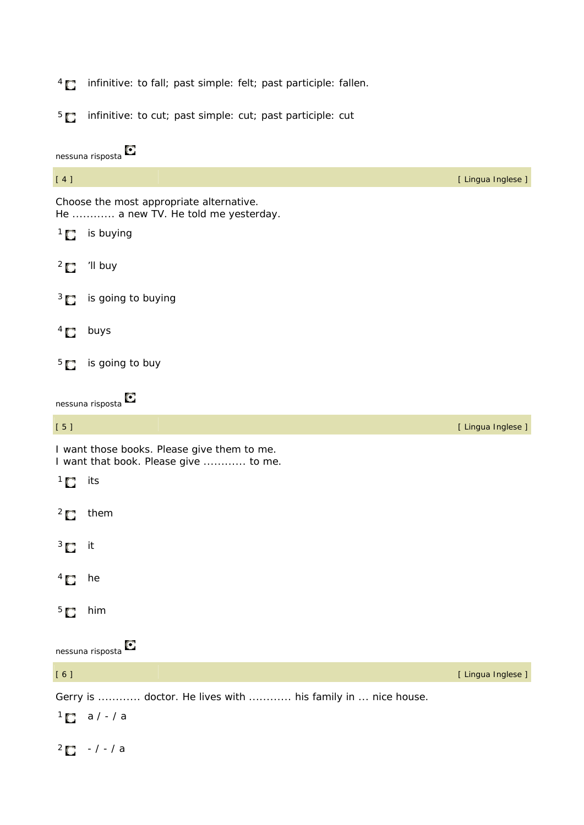- 4 *infinitive:* to fall; *past simple:* felt; *past participle:* fallen.
- 5 *infinitive:* to cut; *past simple:* cut; *past participle:* cut

|                | O<br>nessuna risposta                                                                |                    |
|----------------|--------------------------------------------------------------------------------------|--------------------|
| $[4]$          |                                                                                      | [ Lingua Inglese ] |
|                | Choose the most appropriate alternative.<br>He  a new TV. He told me yesterday.      |                    |
| $\overline{C}$ | is buying                                                                            |                    |
| $\overline{C}$ | 'Il buy                                                                              |                    |
| $3\Box$        | is going to buying                                                                   |                    |
| $\overline{a}$ | buys                                                                                 |                    |
| $5^{\circ}$    | is going to buy                                                                      |                    |
|                | O<br>nessuna risposta                                                                |                    |
| [5]            |                                                                                      | [ Lingua Inglese ] |
|                | I want those books. Please give them to me.<br>I want that book. Please give  to me. |                    |
| $\overline{1}$ | its                                                                                  |                    |
| $\overline{2}$ | them                                                                                 |                    |
| $3\Box$        | it                                                                                   |                    |
| $4 \bullet$ he |                                                                                      |                    |
| 5 <sub>C</sub> | him                                                                                  |                    |
|                | nessuna risposta $\bullet$                                                           |                    |
| [6]            |                                                                                      | [ Lingua Inglese ] |
|                | Gerry is  doctor. He lives with  his family in  nice house.                          |                    |
|                | $1$ a / - / a                                                                        |                    |
| $\overline{2}$ | $- / - / a$                                                                          |                    |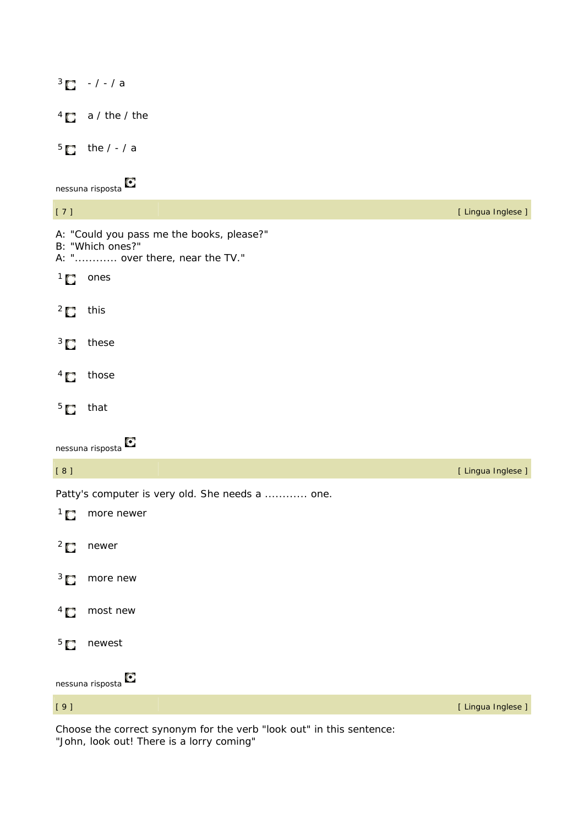$3 - / - / a$  $4 \blacksquare$  a / the / the  $5$  the  $/ - / a$ nessuna risposta<sup>[5]</sup> [ 7 ] [ Lingua Inglese ] A: "Could you pass me the books, please?" B: "Which ones?" A: "............ over there, near the TV."  $1$  ones  $2$  this  $3$  these  $4 \Box$  those  $5$  that nessuna risposta [ 8 ] [ Lingua Inglese ] Patty's computer is very old. She needs a ............ one. <sup>1</sup> more newer <sup>2</sup> newer <sup>3</sup> more new <sup>4</sup> most new <sup>5</sup> newest nessuna risposta [ 9 ] [ Lingua Inglese ]

Choose the correct synonym for the verb "look out" in this sentence: "John, look out! There is a lorry coming"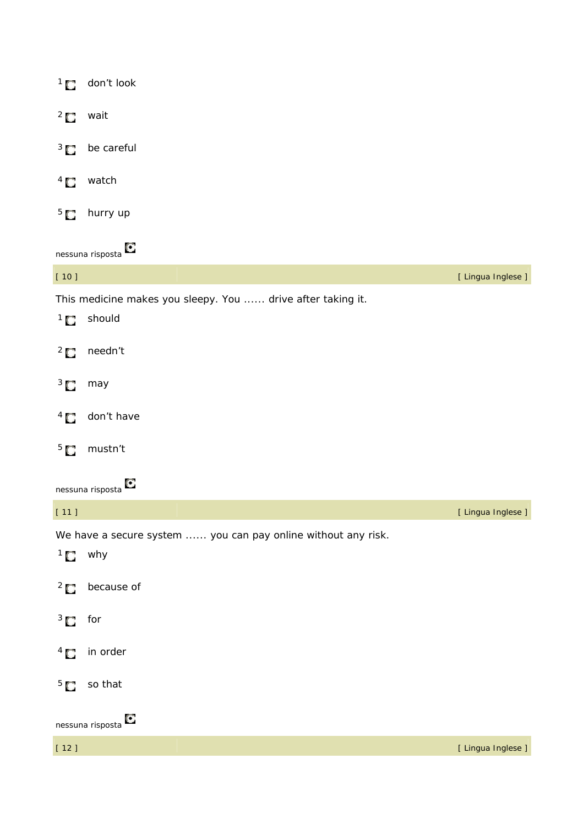|                               | $1$ don't look                                                        |                    |
|-------------------------------|-----------------------------------------------------------------------|--------------------|
| $\overline{C}$                | wait                                                                  |                    |
| $3^{\circ}$                   | be careful                                                            |                    |
| $\overline{1}$                | watch                                                                 |                    |
|                               | $5\blacksquare$ hurry up                                              |                    |
|                               | nessuna risposta <sup>1</sup>                                         |                    |
| $[10]$                        |                                                                       | [ Lingua Inglese ] |
| $\overline{1}$ $\overline{1}$ | This medicine makes you sleepy. You  drive after taking it.<br>should |                    |
| $\overline{C}$                | needn't                                                               |                    |
| $\overline{3}$ $\overline{1}$ | may                                                                   |                    |
| $\overline{a}$                | don't have                                                            |                    |
| 5 <sub>C</sub>                | mustn't                                                               |                    |
|                               | O<br>nessuna risposta                                                 |                    |
| $[11]$                        |                                                                       | [ Lingua Inglese ] |
|                               | We have a secure system  you can pay online without any risk.         |                    |
| $1$ why                       |                                                                       |                    |
| $\overline{C}$                | because of                                                            |                    |
| $3$ for                       |                                                                       |                    |
| $\overline{a}$                | in order                                                              |                    |
| 5 <sub>C</sub>                | so that                                                               |                    |
|                               | nessuna risposta <sup>1</sup>                                         |                    |
| $[12]$                        |                                                                       | [ Lingua Inglese ] |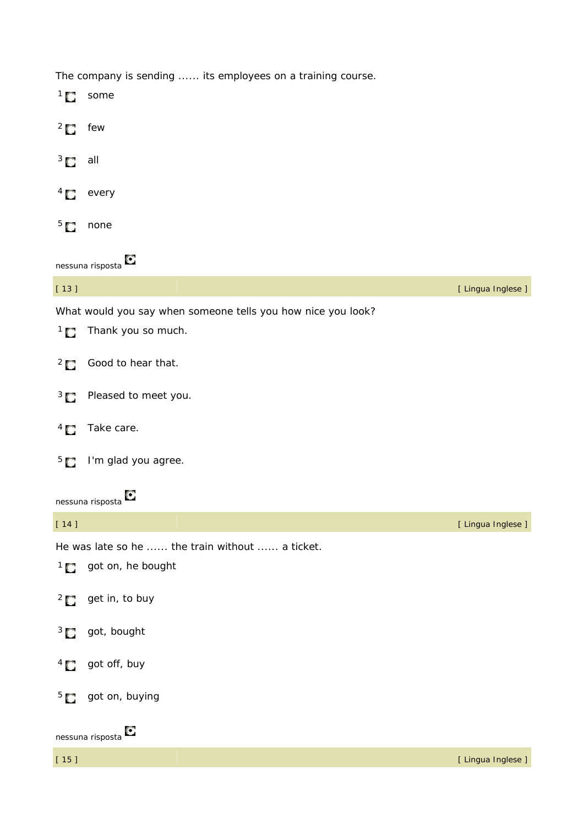The company is sending ...... its employees on a training course.

| $\overline{1}$ $\overline{1}$ | some                                                         |                    |
|-------------------------------|--------------------------------------------------------------|--------------------|
| $\overline{C}$                | few                                                          |                    |
| $3\Box$                       | all                                                          |                    |
| $\overline{1}$                | every                                                        |                    |
| 5 <sub>1</sub>                | none                                                         |                    |
|                               | O<br>nessuna risposta                                        |                    |
| $[13]$                        |                                                              | [ Lingua Inglese ] |
|                               | What would you say when someone tells you how nice you look? |                    |
| $\overline{1}$ $\overline{1}$ | Thank you so much.                                           |                    |
| $\overline{C}$                | Good to hear that.                                           |                    |
| $3\Box$                       | Pleased to meet you.                                         |                    |
| $\frac{4}{3}$                 | Take care.                                                   |                    |
| 5 <sub>1</sub>                | I'm glad you agree.                                          |                    |
|                               | О<br>nessuna risposta                                        |                    |
| $[14]$                        |                                                              | [ Lingua Inglese ] |
|                               | He was late so he  the train without  a ticket.              |                    |
| $\overline{C}$                | got on, he bought                                            |                    |
| $\frac{2}{3}$                 | get in, to buy                                               |                    |
| $3\Box$                       | got, bought                                                  |                    |
| $\frac{4}{3}$                 | got off, buy                                                 |                    |
| 5 <sub>1</sub>                | got on, buying                                               |                    |
|                               | O<br>nessuna risposta                                        |                    |
| $[15]$                        |                                                              | [ Lingua Inglese ] |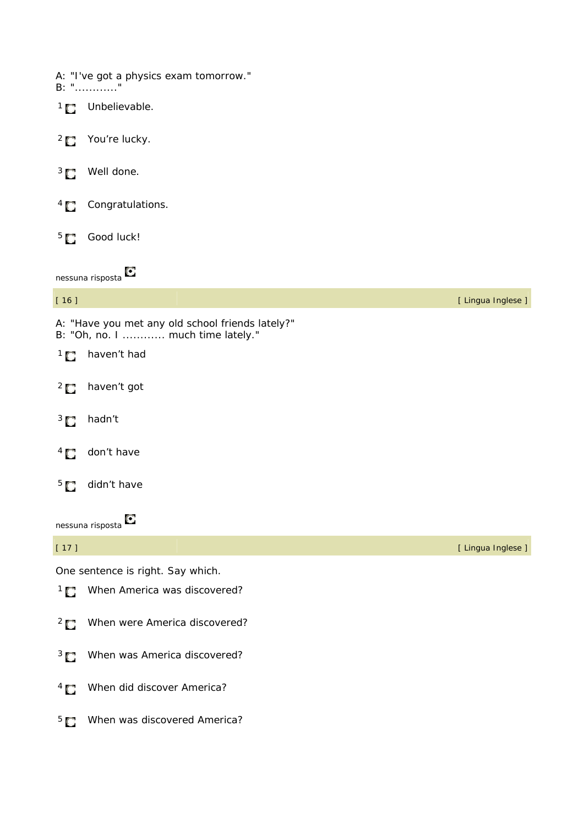|                               | A: "I've got a physics exam tomorrow."<br>B: ""                                       |                    |
|-------------------------------|---------------------------------------------------------------------------------------|--------------------|
| $\overline{C}$                | Unbelievable.                                                                         |                    |
| $\overline{C}$                | You're lucky.                                                                         |                    |
| $\frac{3}{2}$                 | Well done.                                                                            |                    |
| $\overline{1}$                | Congratulations.                                                                      |                    |
| 5 <sub>1</sub>                | Good luck!                                                                            |                    |
|                               | nessuna risposta <sup>C</sup>                                                         |                    |
| $[16]$                        |                                                                                       | [ Lingua Inglese ] |
|                               | A: "Have you met any old school friends lately?"<br>B: "Oh, no. I  much time lately." |                    |
| $\overline{1}$ $\overline{0}$ | haven't had                                                                           |                    |
| $\overline{2}$                | haven't got                                                                           |                    |
| $\frac{3}{2}$                 | hadn't                                                                                |                    |
| $\overline{1}$                | don't have                                                                            |                    |
| $5\Box$                       | didn't have                                                                           |                    |
|                               | О<br>nessuna risposta                                                                 |                    |
| $[17]$                        |                                                                                       | [ Lingua Inglese ] |
|                               | One sentence is right. Say which.                                                     |                    |
|                               | 1 When America was discovered?                                                        |                    |
| $\frac{2}{3}$                 | When were America discovered?                                                         |                    |
| $\frac{3}{2}$                 | When was America discovered?                                                          |                    |
| $\overline{1}$                | When did discover America?                                                            |                    |
| 5 <sub>1</sub>                | When was discovered America?                                                          |                    |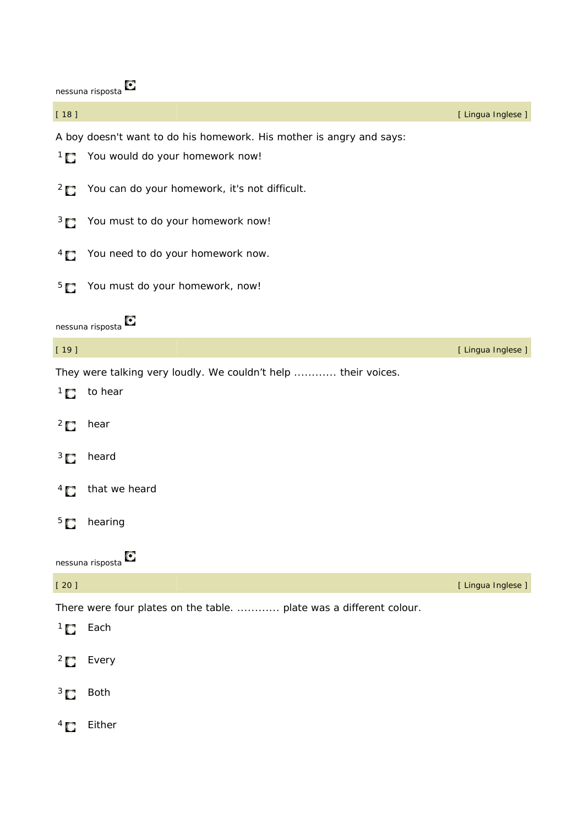|                | Tiessuria Tisposta                                                   |                    |
|----------------|----------------------------------------------------------------------|--------------------|
| $[18]$         |                                                                      | [ Lingua Inglese ] |
|                | A boy doesn't want to do his homework. His mother is angry and says: |                    |
|                | <sup>1</sup> You would do your homework now!                         |                    |
|                | <sup>2</sup> You can do your homework, it's not difficult.           |                    |
| $\frac{3}{2}$  | You must to do your homework now!                                    |                    |
| $\overline{4}$ | You need to do your homework now.                                    |                    |
| 5 <sub>1</sub> | You must do your homework, now!                                      |                    |
|                | nessuna risposta                                                     |                    |
| $[19]$         |                                                                      | [ Lingua Inglese ] |
|                | They were talking very loudly. We couldn't help  their voices.       |                    |
| $\overline{1}$ | to hear                                                              |                    |
| $\frac{2}{3}$  | hear                                                                 |                    |
| $3\Box$        | heard                                                                |                    |
| $^{4}$ $\Box$  | that we heard                                                        |                    |
| 5 <sub>1</sub> | hearing                                                              |                    |
|                | о<br>nessuna risposta                                                |                    |
| $[20]$         |                                                                      | [ Lingua Inglese ] |
|                | There were four plates on the table.  plate was a different colour.  |                    |
| $\overline{1}$ | Each                                                                 |                    |
| $^{2}$ $\Box$  | Every                                                                |                    |
| $3\Box$        | <b>Both</b>                                                          |                    |
| $^{4}$ $\Box$  | Either                                                               |                    |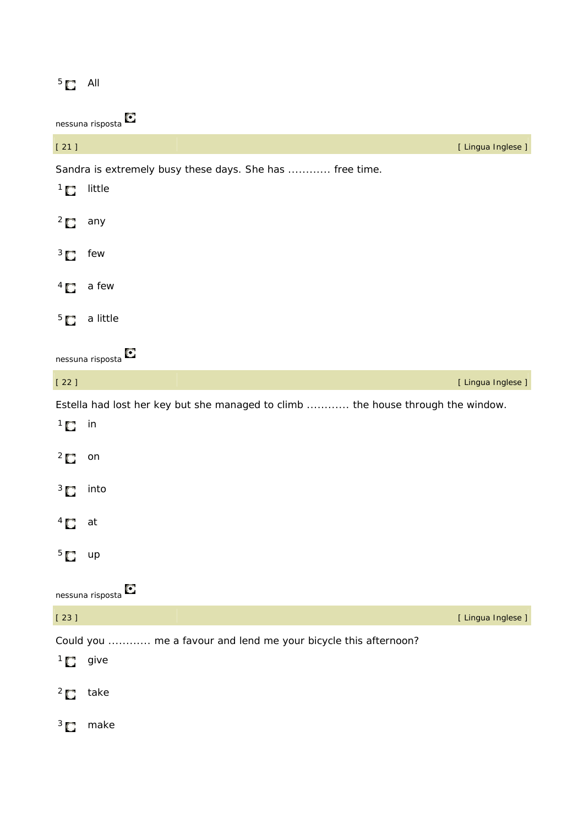# $5$  All

| $[21]$                        | [ Lingua Inglese ]                                                               |
|-------------------------------|----------------------------------------------------------------------------------|
|                               | Sandra is extremely busy these days. She has  free time.                         |
| $\overline{C}$                | little                                                                           |
| $^{2}$ $\Box$                 | any                                                                              |
| $3\Box$                       | few                                                                              |
| $\frac{4}{3}$                 | a few                                                                            |
| 5 <sub>1</sub>                | a little                                                                         |
|                               | O<br>nessuna risposta                                                            |
| $[22]$                        | [ Lingua Inglese ]                                                               |
|                               | Estella had lost her key but she managed to climb  the house through the window. |
| $\overline{1}$ $\overline{0}$ | in                                                                               |
| $^{2}$ $\Box$                 | on                                                                               |
| $3\Box$                       | into                                                                             |
| $^{4}$ $\Box$                 | at                                                                               |
| $5\Box$                       | up                                                                               |
|                               | О<br>nessuna risposta                                                            |
| $[23]$                        | [ Lingua Inglese ]                                                               |
|                               | Could you  me a favour and lend me your bicycle this afternoon?                  |
| ' 0                           | give                                                                             |
| $^{2}$                        | take                                                                             |
| 3 <sub>1</sub>                | make                                                                             |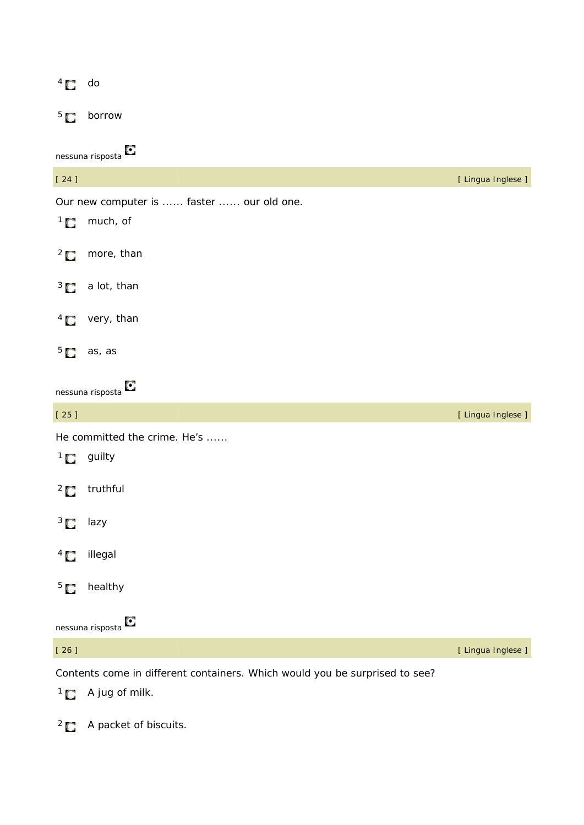| $\overline{1}$                | do                                        |                    |
|-------------------------------|-------------------------------------------|--------------------|
| 5 <sub>1</sub>                | borrow                                    |                    |
|                               | O<br>nessuna risposta                     |                    |
| $[24]$                        |                                           | [ Lingua Inglese ] |
|                               | Our new computer is  faster  our old one. |                    |
| $\overline{1}$                | much, of                                  |                    |
| $\overline{C}$                | more, than                                |                    |
| $3 \Box$                      | a lot, than                               |                    |
| $^{4}$ $\Box$                 | very, than                                |                    |
| 5 <sub>1</sub>                | as, as                                    |                    |
|                               | nessuna risposta                          |                    |
| $[25]$                        |                                           | [ Lingua Inglese ] |
|                               | He committed the crime. He's              |                    |
| $\overline{1}$ $\overline{1}$ | guilty                                    |                    |
| $^{2}$ $\Box$                 | truthful                                  |                    |
| $\overline{3}$ $\overline{1}$ | lazy                                      |                    |
| $\overline{1}$                | illegal                                   |                    |
| 5 <sub>o</sub>                | healthy                                   |                    |
|                               | Ο<br>nessuna risposta                     |                    |
| $[26]$                        |                                           | [ Lingua Inglese ] |

Contents come in different containers. Which would you be surprised to see?

 $1 \bullet A$  jug of milk.

<sup>2</sup> A packet of biscuits.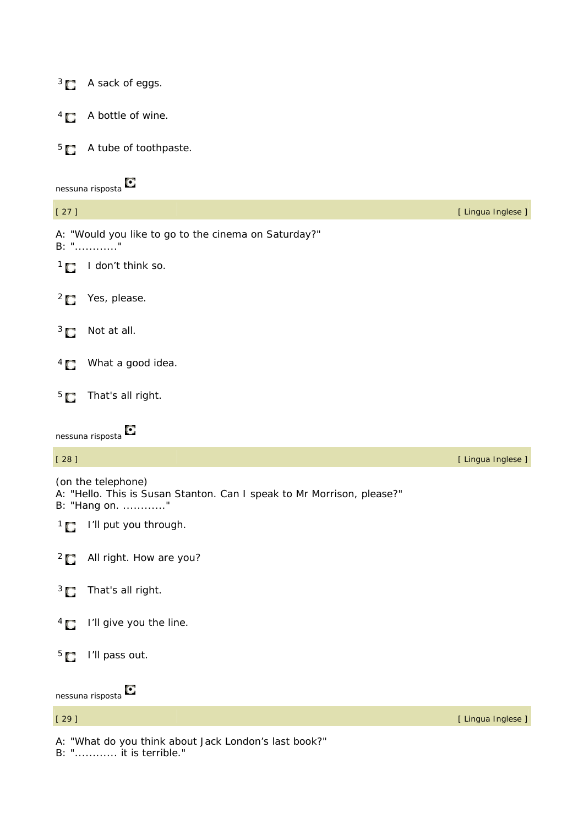|                | <sup>3</sup> A sack of eggs.                                                                                 |                    |
|----------------|--------------------------------------------------------------------------------------------------------------|--------------------|
| $^{4}$ $\Box$  | A bottle of wine.                                                                                            |                    |
|                | $5\blacksquare$ A tube of toothpaste.                                                                        |                    |
|                | nessuna risposta                                                                                             |                    |
| $[27]$         |                                                                                                              | [ Lingua Inglese ] |
|                | A: "Would you like to go to the cinema on Saturday?"<br>B: ""                                                |                    |
|                | $1 \bullet$ I don't think so.                                                                                |                    |
|                | <sup>2</sup> Yes, please.                                                                                    |                    |
| $3\Box$        | Not at all.                                                                                                  |                    |
| $\frac{4}{3}$  | What a good idea.                                                                                            |                    |
| 5 <sub>1</sub> | That's all right.                                                                                            |                    |
|                |                                                                                                              |                    |
|                | nessuna risposta                                                                                             |                    |
| $[28]$         |                                                                                                              | [ Lingua Inglese ] |
|                | (on the telephone)<br>A: "Hello. This is Susan Stanton. Can I speak to Mr Morrison, please?"<br>B: "Hang on. |                    |
| $\overline{C}$ | I'll put you through.                                                                                        |                    |
| $\overline{C}$ | All right. How are you?                                                                                      |                    |
| $3\Box$        | That's all right.                                                                                            |                    |
| $^{4}$ $\Box$  | I'll give you the line.                                                                                      |                    |
| 5 <sub>1</sub> | I'll pass out.                                                                                               |                    |
|                | O<br>nessuna risposta                                                                                        |                    |
| $[29]$         |                                                                                                              | [ Lingua Inglese ] |

B: "............ it is terrible."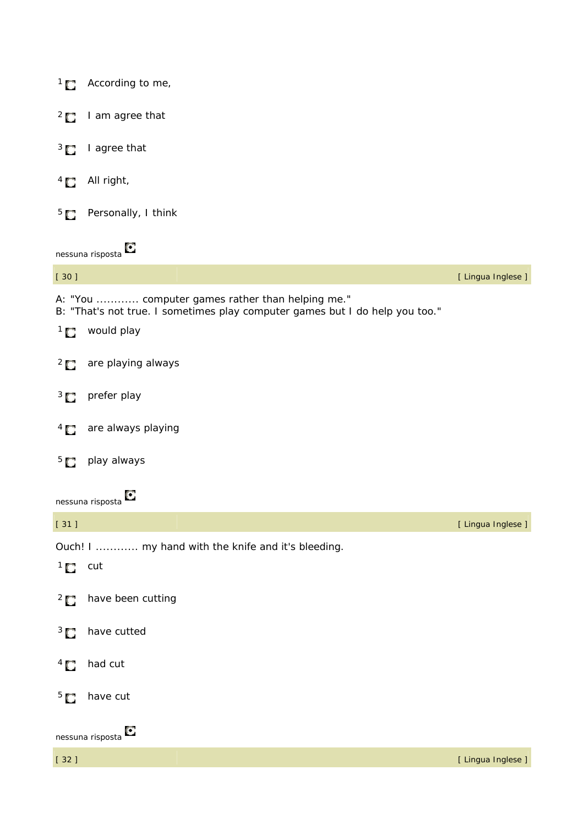|                 | $1 \bullet$ According to me,                                                                                                                       |                    |
|-----------------|----------------------------------------------------------------------------------------------------------------------------------------------------|--------------------|
| $^{2}$ $\Box$   | I am agree that                                                                                                                                    |                    |
|                 | $3 \Box$ I agree that                                                                                                                              |                    |
| $\overline{1}$  | All right,                                                                                                                                         |                    |
|                 | <sup>5</sup> Personally, I think                                                                                                                   |                    |
|                 | nessuna risposta                                                                                                                                   |                    |
| $[30]$          |                                                                                                                                                    | [ Lingua Inglese ] |
|                 | A: "You  computer games rather than helping me."<br>B: "That's not true. I sometimes play computer games but I do help you too."<br>$1$ would play |                    |
|                 | <sup>2</sup> are playing always                                                                                                                    |                    |
|                 | $3 \Box$ prefer play                                                                                                                               |                    |
| $\overline{4}$  | are always playing                                                                                                                                 |                    |
|                 | <sup>5</sup> play always                                                                                                                           |                    |
|                 | Ο<br>nessuna risposta                                                                                                                              |                    |
| $[31]$          |                                                                                                                                                    | [ Lingua Inglese ] |
|                 | Ouch! I  my hand with the knife and it's bleeding.                                                                                                 |                    |
| $1 \bullet$ cut |                                                                                                                                                    |                    |
| $^{2}$ $\Box$   | have been cutting                                                                                                                                  |                    |
| $\frac{3}{2}$   | have cutted                                                                                                                                        |                    |
| $\overline{1}$  | had cut                                                                                                                                            |                    |
| 5 <sub>1</sub>  | have cut                                                                                                                                           |                    |
|                 | О<br>nessuna risposta                                                                                                                              |                    |
| $[32]$          |                                                                                                                                                    | [ Lingua Inglese ] |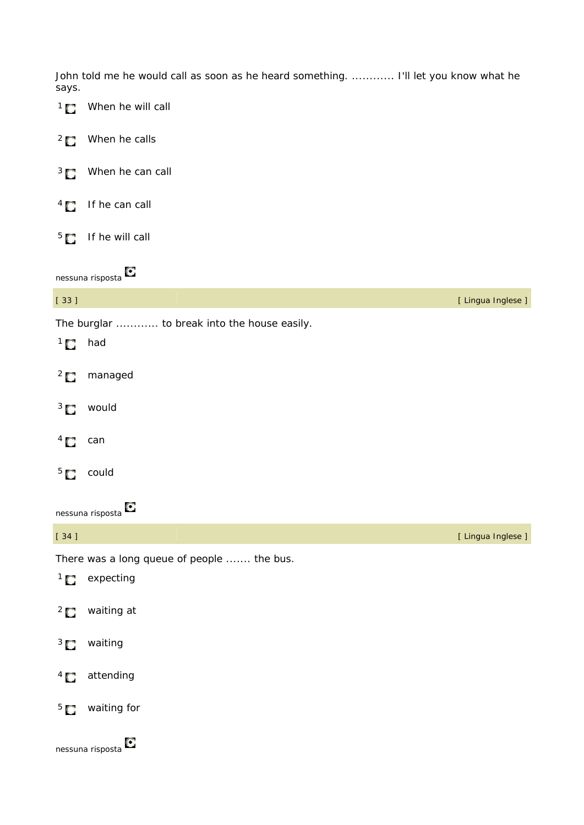John told me he would call as soon as he heard something. ............. I'll let you know what he says.

 $1 \bullet$  When he will call <sup>2</sup> When he calls <sup>3</sup> When he can call  $4 \Box$  If he can call  $5$  If he will call nessuna risposta [ 33 ] [ Lingua Inglese ] The burglar ............ to break into the house easily.  $1$  had <sup>2</sup> managed

- <sup>3</sup> would
- $4\Box$  can
- 5 could

| $[34]$         |                                            | [ Lingua Inglese ] |
|----------------|--------------------------------------------|--------------------|
|                | There was a long queue of people  the bus. |                    |
|                | $1$ expecting                              |                    |
|                | $2 \bullet$ waiting at                     |                    |
|                | <sup>3</sup> waiting                       |                    |
| $\overline{4}$ | attending                                  |                    |
| $^{5}$ C       | waiting for                                |                    |
|                | O<br>nessuna risposta                      |                    |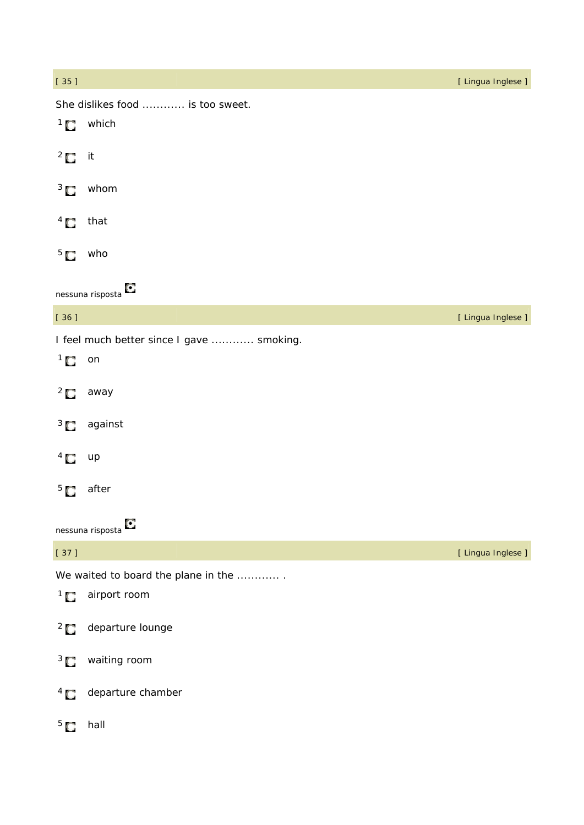| $[35]$           |                                           | [ Lingua Inglese ] |
|------------------|-------------------------------------------|--------------------|
|                  | She dislikes food  is too sweet.          |                    |
|                  | $1$ which                                 |                    |
| $2 \Box$ it      |                                           |                    |
| $\frac{3}{2}$    | whom                                      |                    |
| $\overline{1}$   | that                                      |                    |
| 5 <sub>1</sub>   | who                                       |                    |
|                  | О<br>nessuna risposta                     |                    |
| $[36]$           |                                           | [ Lingua Inglese ] |
|                  | I feel much better since I gave  smoking. |                    |
| $1$ on           |                                           |                    |
| $\overline{C}$   | away                                      |                    |
| $\frac{3}{2}$    | against                                   |                    |
| $\overline{1}$   | up                                        |                    |
| 5 <sub>1</sub>   | after                                     |                    |
|                  | O<br>nessuna risposta                     |                    |
| $[37]$           |                                           | [ Lingua Inglese ] |
|                  | We waited to board the plane in the       |                    |
| $\overline{1}$ 0 | airport room                              |                    |
| $\overline{C}$   | departure lounge                          |                    |
| $3\Box$          | waiting room                              |                    |
| $\overline{1}$   | departure chamber                         |                    |
| $5\Box$          | hall                                      |                    |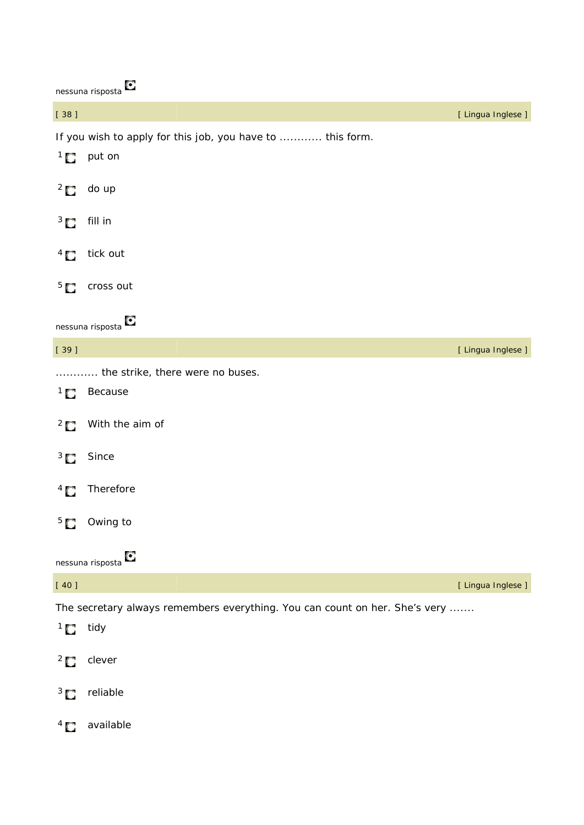| nessuna risposta                                                                       |
|----------------------------------------------------------------------------------------|
| $\begin{bmatrix} 38 \end{bmatrix}$                                                     |
| If you wish to apply for this job, you have to  this form.<br>$\overline{1}$<br>put on |
| $^{2}$ $\Box$<br>do up                                                                 |
| $\overline{3}$<br>fill in                                                              |

[ Lingua Inglese ]

- $4 \sum$  tick out
- $5<sup>5</sup>$  cross out

| $[39]$         |                                                                             | [ Lingua Inglese ] |
|----------------|-----------------------------------------------------------------------------|--------------------|
| $\overline{1}$ | the strike, there were no buses.<br>Because                                 |                    |
| $^{2}$ $\Box$  | With the aim of                                                             |                    |
| $\frac{3}{2}$  | Since                                                                       |                    |
| $\overline{1}$ | Therefore                                                                   |                    |
| 5 <sub>1</sub> | Owing to                                                                    |                    |
|                | O<br>nessuna risposta                                                       |                    |
| $[40]$         |                                                                             | [ Lingua Inglese ] |
|                | The secretary always remembers everything. You can count on her. She's very |                    |
| $1$ idy        |                                                                             |                    |
| $^{2}$ $\Box$  | clever                                                                      |                    |
| $3\Box$        | reliable                                                                    |                    |
| $4 \Box$       | available                                                                   |                    |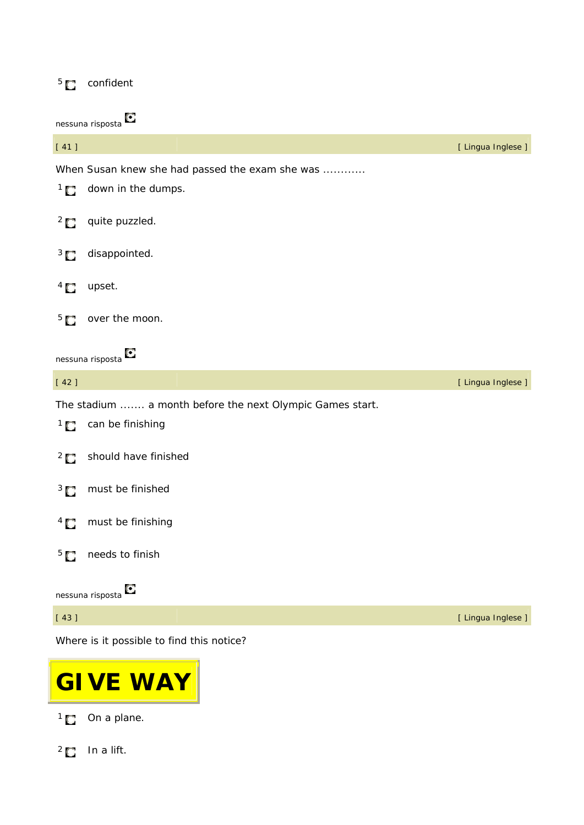# <sup>5</sup> confident

nessuna risposta

| [41]                          |                                                           | [ Lingua Inglese ] |
|-------------------------------|-----------------------------------------------------------|--------------------|
|                               | When Susan knew she had passed the exam she was           |                    |
| $\overline{1}$ C              | down in the dumps.                                        |                    |
| $\frac{2}{3}$                 | quite puzzled.                                            |                    |
| $3\Box$                       | disappointed.                                             |                    |
| $^{4}$ $\Box$                 | upset.                                                    |                    |
| 5 <sub>1</sub>                | over the moon.                                            |                    |
|                               | O<br>nessuna risposta                                     |                    |
| [42]                          |                                                           | [ Lingua Inglese ] |
|                               | The stadium  a month before the next Olympic Games start. |                    |
| $\overline{1}$ $\overline{0}$ | can be finishing                                          |                    |
| $^{2}$ $\Box$                 | should have finished                                      |                    |
| $3\Box$                       | must be finished                                          |                    |
| $4\Box$                       | must be finishing                                         |                    |
| 5 <sub>1</sub>                | needs to finish                                           |                    |
|                               | О<br>nessuna risposta                                     |                    |
| [43]                          |                                                           | [ Lingua Inglese ] |

Where is it possible to find this notice?



1<sup>1</sup> On a plane.

 $2$  In a lift.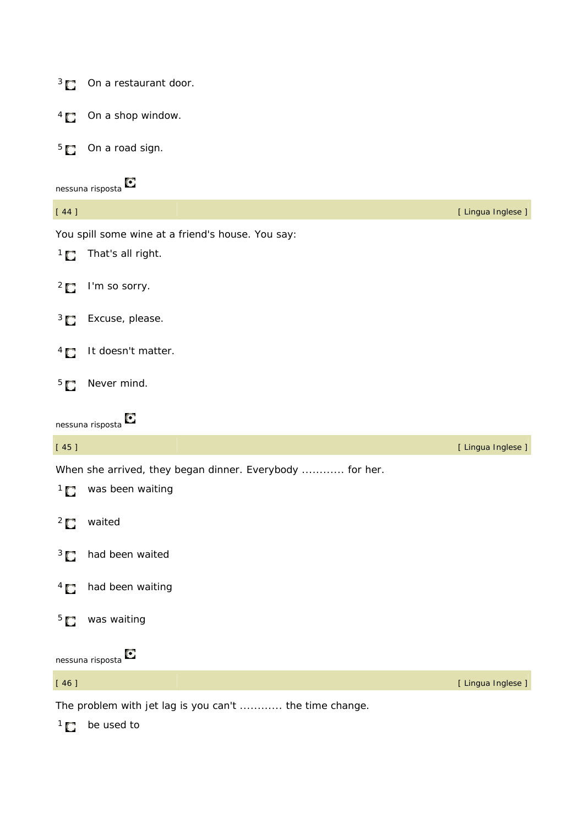| $\frac{3}{2}$    | On a restaurant door.                                    |                    |
|------------------|----------------------------------------------------------|--------------------|
| $^{4}$ $\Box$    | On a shop window.                                        |                    |
| 5 <sub>1</sub>   | On a road sign.                                          |                    |
|                  | O<br>nessuna risposta                                    |                    |
| $[44]$           |                                                          | [ Lingua Inglese ] |
|                  | You spill some wine at a friend's house. You say:        |                    |
| $\overline{1}$   | That's all right.                                        |                    |
| $^{2}$ $\Box$    | I'm so sorry.                                            |                    |
| $\frac{3}{2}$    | Excuse, please.                                          |                    |
| $^{4}$ $\Box$    | It doesn't matter.                                       |                    |
| 5 <sub>1</sub>   | Never mind.                                              |                    |
|                  |                                                          |                    |
|                  | Ο<br>nessuna risposta                                    |                    |
| $[45]$           |                                                          | [ Lingua Inglese ] |
|                  | When she arrived, they began dinner. Everybody  for her. |                    |
| $\overline{1}$ 0 | was been waiting                                         |                    |
| $^{2}$ $\Box$    | waited                                                   |                    |
| $3\Box$          | had been waited                                          |                    |
| $\frac{4}{3}$    | had been waiting                                         |                    |
| 5 <sub>1</sub>   | was waiting                                              |                    |
|                  | О<br>nessuna risposta                                    |                    |
| $[46]$           |                                                          | [ Lingua Inglese ] |

 $1$  be used to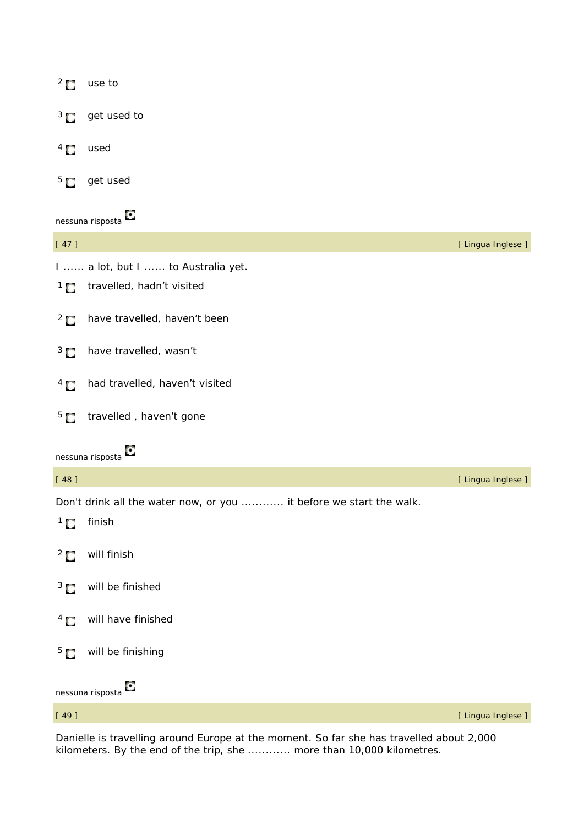|                | $2 \bullet$ use to                                                  |                    |
|----------------|---------------------------------------------------------------------|--------------------|
|                | $3 \Box$ get used to                                                |                    |
| $\overline{a}$ | used                                                                |                    |
| $5^{\circ}$    | get used                                                            |                    |
|                | O<br>nessuna risposta                                               |                    |
| $[47]$         |                                                                     | [ Lingua Inglese ] |
|                | I  a lot, but I  to Australia yet.                                  |                    |
|                | 1 <sup>1</sup> travelled, hadn't visited                            |                    |
| $\frac{2}{3}$  | have travelled, haven't been                                        |                    |
| $3\Box$        | have travelled, wasn't                                              |                    |
| $\overline{1}$ | had travelled, haven't visited                                      |                    |
|                | $55$ travelled, haven't gone                                        |                    |
|                | O<br>nessuna risposta                                               |                    |
| $[48]$         |                                                                     | [ Lingua Inglese ] |
|                | Don't drink all the water now, or you  it before we start the walk. |                    |
| $\overline{C}$ | finish                                                              |                    |
| $\overline{C}$ | will finish                                                         |                    |
| $3\Box$        | will be finished                                                    |                    |
| $^{4}$ $\Box$  | will have finished                                                  |                    |
| 5 <sub>C</sub> | will be finishing                                                   |                    |
|                | О<br>nessuna risposta                                               |                    |

[ 49 ] [ Lingua Inglese ]

Danielle is travelling around Europe at the moment. So far she has travelled about 2,000 kilometers. By the end of the trip, she ............ more than 10,000 kilometres.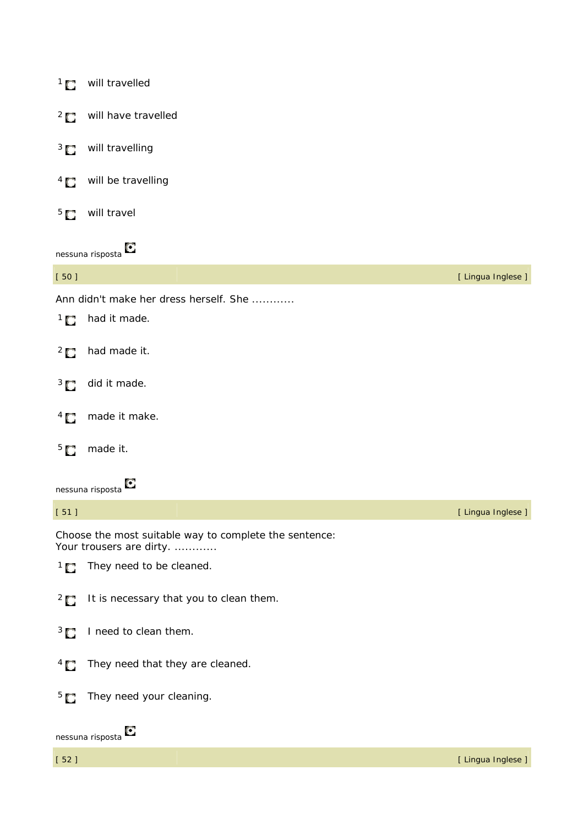| $\overline{1}$ $\overline{1}$ | will travelled                                                                     |                    |
|-------------------------------|------------------------------------------------------------------------------------|--------------------|
|                               | <sup>2</sup> will have travelled                                                   |                    |
| $3^{\circ}$                   | will travelling                                                                    |                    |
| $\overline{a}$                | will be travelling                                                                 |                    |
| 5 <sub>C</sub>                | will travel                                                                        |                    |
|                               | nessuna risposta $\bullet$                                                         |                    |
| $[50]$                        |                                                                                    | [ Lingua Inglese ] |
|                               | Ann didn't make her dress herself. She                                             |                    |
| $\overline{C}$                | had it made.                                                                       |                    |
| $\overline{2}$ $\overline{C}$ | had made it.                                                                       |                    |
| $3\Box$                       | did it made.                                                                       |                    |
| $\overline{a}$                | made it make.                                                                      |                    |
| 5 <sub>1</sub>                | made it.                                                                           |                    |
|                               | Ο<br>nessuna risposta                                                              |                    |
| [51]                          |                                                                                    | [ Lingua Inglese ] |
|                               | Choose the most suitable way to complete the sentence:<br>Your trousers are dirty. |                    |
| $\overline{C}$                | They need to be cleaned.                                                           |                    |
| $\overline{C}$                | It is necessary that you to clean them.                                            |                    |
| $3\Box$                       | I need to clean them.                                                              |                    |
| $4\Box$                       | They need that they are cleaned.                                                   |                    |
| 5 <sub>1</sub>                | They need your cleaning.                                                           |                    |
|                               | О<br>nessuna risposta                                                              |                    |
| $[52]$                        |                                                                                    | [ Lingua Inglese ] |
|                               |                                                                                    |                    |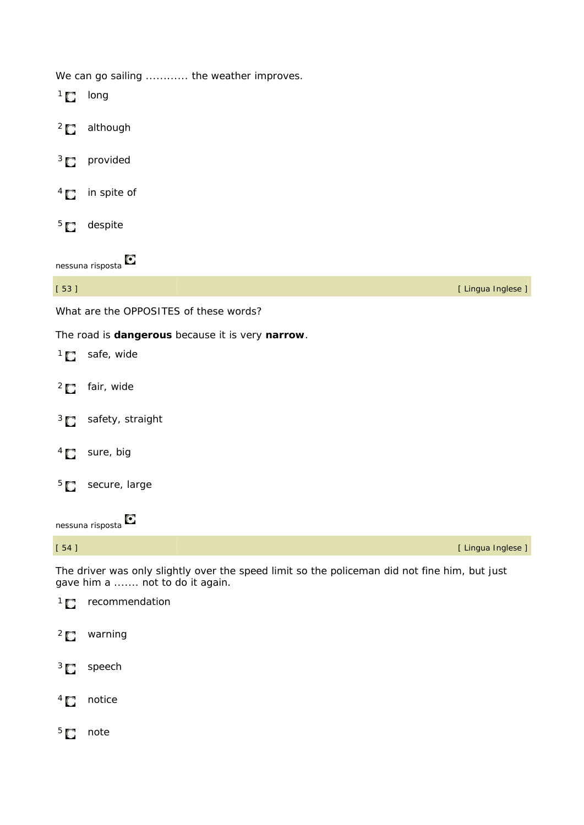We can go sailing ............ the weather improves.

| $\overline{1}$                | long                                             |                    |
|-------------------------------|--------------------------------------------------|--------------------|
| $\overline{C}$                | although                                         |                    |
| $3\Box$                       | provided                                         |                    |
| $\overline{1}$                | in spite of                                      |                    |
| 5 <sub>1</sub>                | despite                                          |                    |
|                               | Ο<br>nessuna risposta                            |                    |
| $[53]$                        |                                                  | [ Lingua Inglese ] |
|                               | What are the OPPOSITES of these words?           |                    |
|                               | The road is dangerous because it is very narrow. |                    |
| $\overline{C}$                | safe, wide                                       |                    |
| $\frac{2}{3}$                 | fair, wide                                       |                    |
| $\overline{3}$ $\overline{2}$ | safety, straight                                 |                    |
| $^{4}$ $\Box$                 | sure, big                                        |                    |
| 5 <sub>1</sub>                | secure, large                                    |                    |
|                               | nessuna risposta <sup>1</sup>                    |                    |
| $[54]$                        |                                                  | [ Lingua Inglese ] |

The driver was only slightly over the speed limit so the policeman did not fine him, but just gave him a ....... not to do it again.

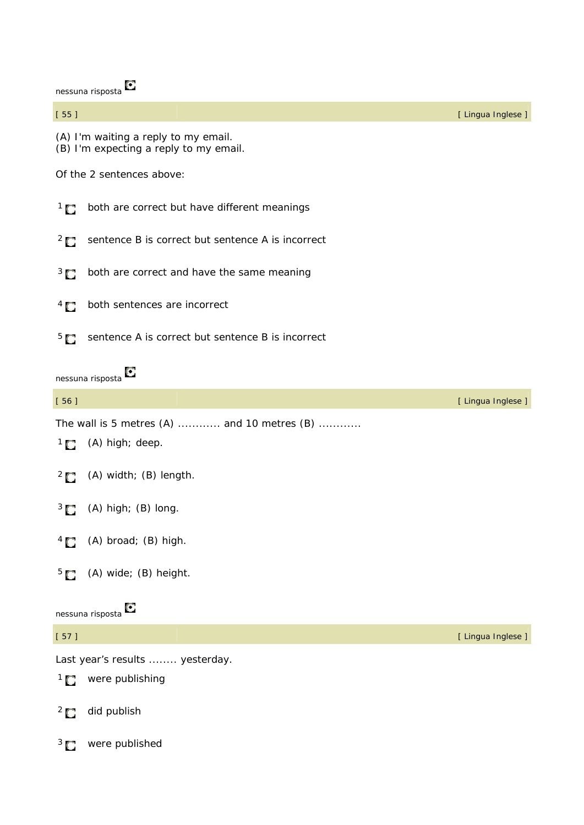|                | nessuna risposta                                                               |                    |
|----------------|--------------------------------------------------------------------------------|--------------------|
| $[55]$         |                                                                                | [ Lingua Inglese ] |
|                | (A) I'm waiting a reply to my email.<br>(B) I'm expecting a reply to my email. |                    |
|                | Of the 2 sentences above:                                                      |                    |
| $\overline{1}$ | both are correct but have different meanings                                   |                    |
| $^{2}$ $\Box$  | sentence B is correct but sentence A is incorrect                              |                    |
| $3\Box$        | both are correct and have the same meaning                                     |                    |
| $^{4}$ $\Box$  | both sentences are incorrect                                                   |                    |
| 5 <sub>1</sub> | sentence A is correct but sentence B is incorrect                              |                    |
|                | O<br>nessuna risposta                                                          |                    |
| $[56]$         |                                                                                | [ Lingua Inglese ] |
|                | The wall is 5 metres (A)  and 10 metres (B)                                    |                    |
|                | $1$ (A) high; deep.                                                            |                    |
|                | $2 \bullet$ (A) width; (B) length.                                             |                    |
| $\frac{3}{2}$  | $(A)$ high; $(B)$ long.                                                        |                    |
| $^{4}$         | (A) broad; (B) high.                                                           |                    |
| $^{5}$ $\Box$  | (A) wide; (B) height.                                                          |                    |
|                | О<br>nessuna risposta                                                          |                    |
| $[57]$         |                                                                                | [ Lingua Inglese ] |
|                | Last year's results  yesterday.                                                |                    |
|                | <sup>1</sup> were publishing                                                   |                    |
| $^{2}$ $\Box$  | did publish                                                                    |                    |
| 3 <sub>1</sub> | were published                                                                 |                    |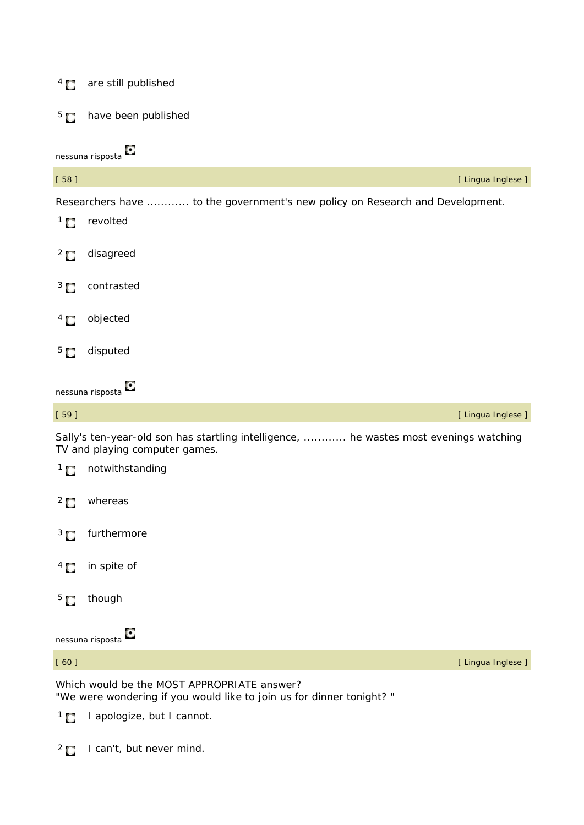## <sup>4</sup> are still published



nessuna risposta



Sally's ten-year-old son has startling intelligence, ............ he wastes most evenings watching TV and playing computer games.



1<sup>1</sup> I apologize, but I cannot.

<sup>2</sup> I can't, but never mind.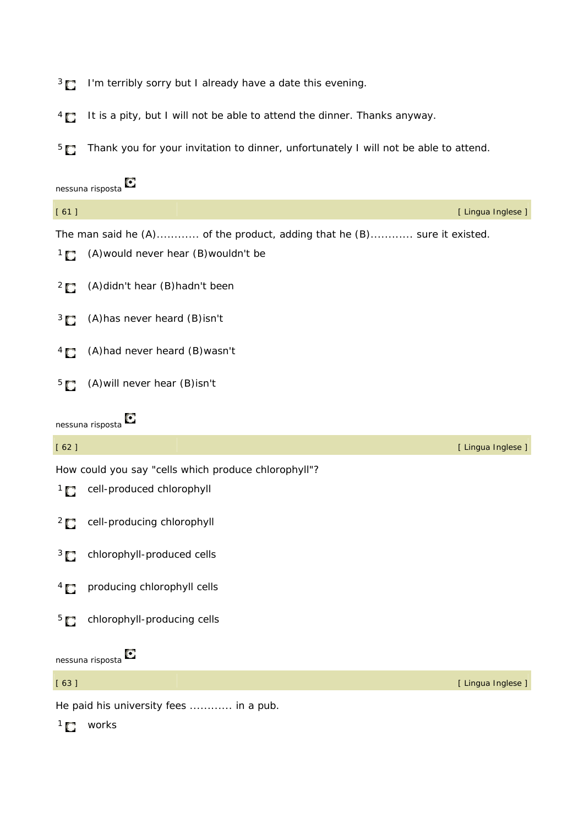<sup>3</sup> **I'm terribly sorry but I already have a date this evening.** 

<sup>4</sup> It is a pity, but I will not be able to attend the dinner. Thanks anyway.

<sup>5</sup> Thank you for your invitation to dinner, unfortunately I will not be able to attend.

|                           | O<br>nessuna risposta                                                   |                    |
|---------------------------|-------------------------------------------------------------------------|--------------------|
| [61]                      |                                                                         | [ Lingua Inglese ] |
|                           | The man said he (A) of the product, adding that he (B) sure it existed. |                    |
| $\mathbb{R}^1$            | (A) would never hear (B) wouldn't be                                    |                    |
| $^{2}$ $\Box$             | (A) didn't hear (B) hadn't been                                         |                    |
| $\frac{3}{2}$             | (A) has never heard (B) isn't                                           |                    |
| $\overline{1}$            | (A) had never heard (B) wasn't                                          |                    |
| 5 <sub>1</sub>            | (A) will never hear (B) isn't                                           |                    |
|                           | O<br>nessuna risposta                                                   |                    |
| [62]                      |                                                                         | [ Lingua Inglese ] |
|                           | How could you say "cells which produce chlorophyll"?                    |                    |
| $\mathbf{1}$ $\mathbf{C}$ | cell-produced chlorophyll                                               |                    |
| $^{2}$ $\Box$             | cell-producing chlorophyll                                              |                    |
| $3\Box$                   | chlorophyll-produced cells                                              |                    |
| $\overline{1}$            | producing chlorophyll cells                                             |                    |
| 5 <sub>1</sub>            | chlorophyll-producing cells                                             |                    |
|                           | О<br>nessuna risposta                                                   |                    |
| [63]                      |                                                                         | [ Lingua Inglese ] |
|                           | He paid his university fees  in a pub.                                  |                    |

 $1$  works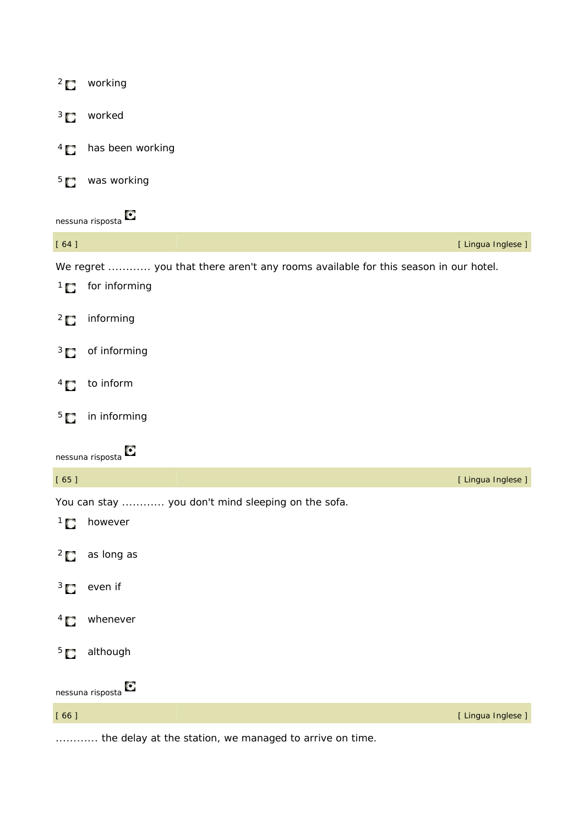| $\overline{C}$ | working                                                                            |                    |
|----------------|------------------------------------------------------------------------------------|--------------------|
| 3 <sub>1</sub> | worked                                                                             |                    |
| $^{4}$ $\Box$  | has been working                                                                   |                    |
| 5 <sub>1</sub> | was working                                                                        |                    |
|                | nessuna risposta <sup>C</sup>                                                      |                    |
| $[64]$         |                                                                                    | [ Lingua Inglese ] |
|                | We regret  you that there aren't any rooms available for this season in our hotel. |                    |
|                | $1 \bullet$ for informing                                                          |                    |
| $\frac{2}{3}$  | informing                                                                          |                    |
| $3\Box$        | of informing                                                                       |                    |
| $^{4}$         | to inform                                                                          |                    |
| 5 <sub>1</sub> | in informing                                                                       |                    |
|                | nessuna risposta                                                                   |                    |
| [65]           |                                                                                    | [ Lingua Inglese ] |
|                | You can stay  you don't mind sleeping on the sofa.                                 |                    |
| $\overline{1}$ | however                                                                            |                    |
| $\overline{2}$ | as long as                                                                         |                    |
| $3^{\circ}$    | even if                                                                            |                    |
| $\overline{1}$ | whenever                                                                           |                    |
| 5 <sub>1</sub> | although                                                                           |                    |
|                | Ο<br>nessuna risposta                                                              |                    |
| $[ 66 ]$       |                                                                                    | [ Lingua Inglese ] |

............ the delay at the station, we managed to arrive on time.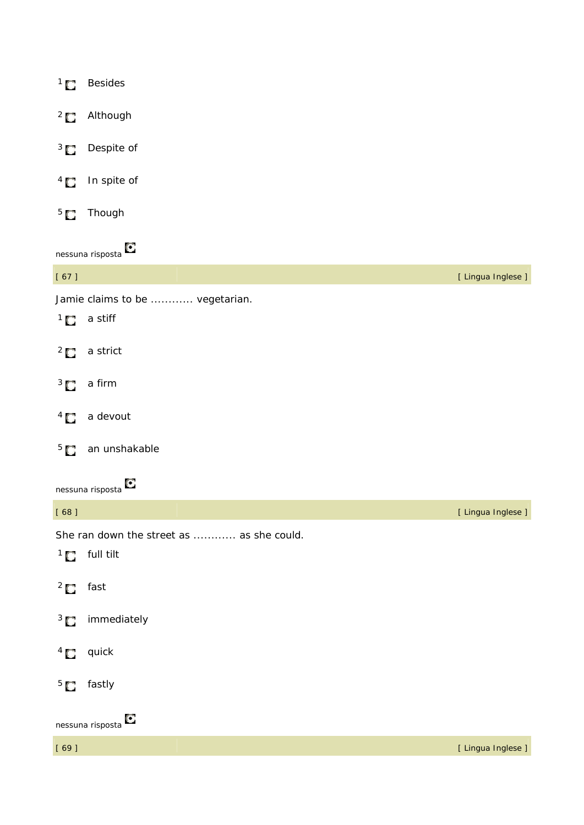|          | <sup>2</sup> Although                     |                    |
|----------|-------------------------------------------|--------------------|
|          | <sup>3</sup> Despite of                   |                    |
|          | $4$ In spite of                           |                    |
|          | <sup>5</sup> Though                       |                    |
|          | nessuna risposta $\bullet$                |                    |
| $[67]$   |                                           | [ Lingua Inglese ] |
|          | Jamie claims to be  vegetarian.           |                    |
|          | $1$ a stiff                               |                    |
|          | $2 \bullet$ a strict                      |                    |
|          | $3\Box$ a firm                            |                    |
|          | $4\Box$ a devout                          |                    |
|          | <sup>5</sup> an unshakable                |                    |
|          | nessuna risposta $\bullet$                |                    |
| [68]     |                                           | [ Lingua Inglese ] |
|          | She ran down the street as  as she could. |                    |
|          | $1$ full tilt                             |                    |
| $2$ fast |                                           |                    |
|          | <sup>3</sup> immediately                  |                    |
|          | $4 \sum$ quick                            |                    |
|          | $5$ fastly                                |                    |
|          | nessuna risposta $\bullet$                |                    |

<sup>1</sup> Besides